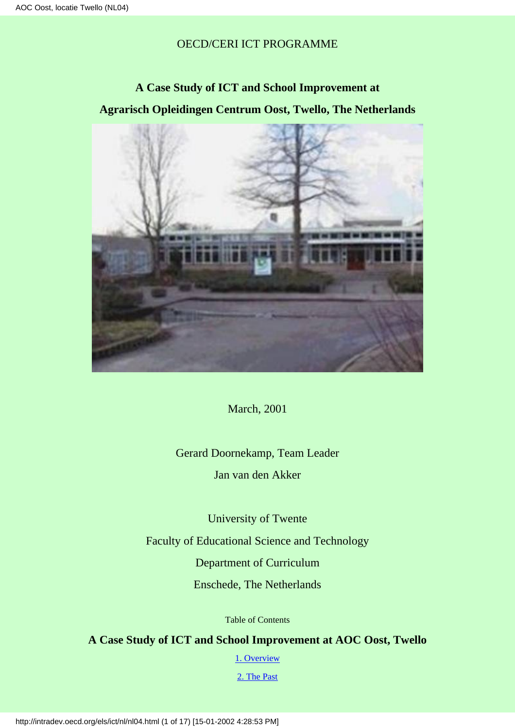OECD/CERI ICT PROGRAMME

**A Case Study of ICT and School Improvement at Agrarisch Opleidingen Centrum Oost, Twello, The Netherlands**



March, 2001

Gerard Doornekamp, Team Leader Jan van den Akker

University of Twente

Faculty of Educational Science and Technology

Department of Curriculum

Enschede, The Netherlands

Table of Contents

<span id="page-0-0"></span>**A Case Study of ICT and School Improvement at AOC Oost, Twello**

[1. Overview](#page-1-0)

[2. The Past](#page-4-0)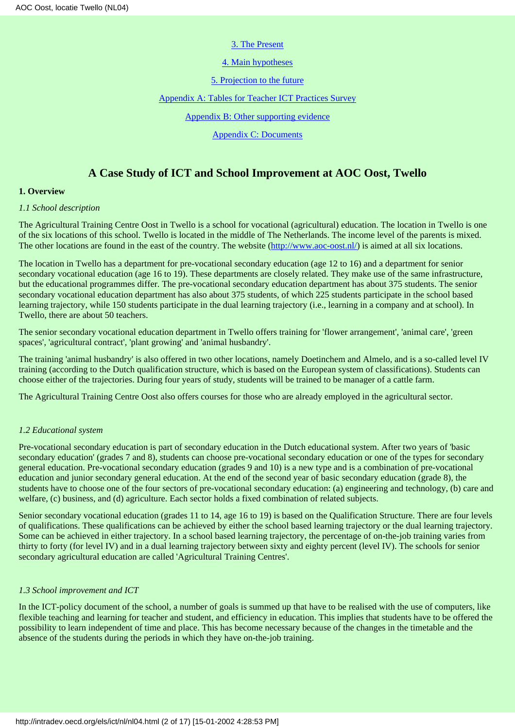### [3. The Present](#page-5-0)

[4. Main hypotheses](#page-9-0)

[5. Projection to the future](#page-11-0)

[Appendix A: Tables for Teacher ICT Practices Survey](#page-11-1)

[Appendix B: Other supporting evidence](#page-15-0)

[Appendix C: Documents](#page-15-1)

# **A Case Study of ICT and School Improvement at AOC Oost, Twello**

## <span id="page-1-0"></span>**1. Overview**

## *1.1 School description*

The Agricultural Training Centre Oost in Twello is a school for vocational (agricultural) education. The location in Twello is one of the six locations of this school. Twello is located in the middle of The Netherlands. The income level of the parents is mixed. The other locations are found in the east of the country. The website [\(http://www.aoc-oost.nl/](http://www.aoc-oost.nl/)) is aimed at all six locations.

The location in Twello has a department for pre-vocational secondary education (age 12 to 16) and a department for senior secondary vocational education (age 16 to 19). These departments are closely related. They make use of the same infrastructure, but the educational programmes differ. The pre-vocational secondary education department has about 375 students. The senior secondary vocational education department has also about 375 students, of which 225 students participate in the school based learning trajectory, while 150 students participate in the dual learning trajectory (i.e., learning in a company and at school). In Twello, there are about 50 teachers.

The senior secondary vocational education department in Twello offers training for 'flower arrangement', 'animal care', 'green spaces', 'agricultural contract', 'plant growing' and 'animal husbandry'.

The training 'animal husbandry' is also offered in two other locations, namely Doetinchem and Almelo, and is a so-called level IV training (according to the Dutch qualification structure, which is based on the European system of classifications). Students can choose either of the trajectories. During four years of study, students will be trained to be manager of a cattle farm.

The Agricultural Training Centre Oost also offers courses for those who are already employed in the agricultural sector.

# *1.2 Educational system*

Pre-vocational secondary education is part of secondary education in the Dutch educational system. After two years of 'basic secondary education' (grades 7 and 8), students can choose pre-vocational secondary education or one of the types for secondary general education. Pre-vocational secondary education (grades 9 and 10) is a new type and is a combination of pre-vocational education and junior secondary general education. At the end of the second year of basic secondary education (grade 8), the students have to choose one of the four sectors of pre-vocational secondary education: (a) engineering and technology, (b) care and welfare, (c) business, and (d) agriculture. Each sector holds a fixed combination of related subjects.

Senior secondary vocational education (grades 11 to 14, age 16 to 19) is based on the Qualification Structure. There are four levels of qualifications. These qualifications can be achieved by either the school based learning trajectory or the dual learning trajectory. Some can be achieved in either trajectory. In a school based learning trajectory, the percentage of on-the-job training varies from thirty to forty (for level IV) and in a dual learning trajectory between sixty and eighty percent (level IV). The schools for senior secondary agricultural education are called 'Agricultural Training Centres'.

# *1.3 School improvement and ICT*

In the ICT-policy document of the school, a number of goals is summed up that have to be realised with the use of computers, like flexible teaching and learning for teacher and student, and efficiency in education. This implies that students have to be offered the possibility to learn independent of time and place. This has become necessary because of the changes in the timetable and the absence of the students during the periods in which they have on-the-job training.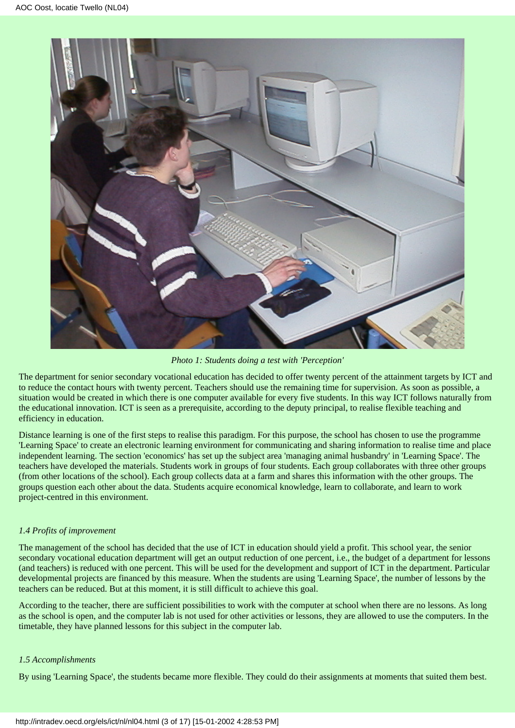

*Photo 1: Students doing a test with 'Perception'*

The department for senior secondary vocational education has decided to offer twenty percent of the attainment targets by ICT and to reduce the contact hours with twenty percent. Teachers should use the remaining time for supervision. As soon as possible, a situation would be created in which there is one computer available for every five students. In this way ICT follows naturally from the educational innovation. ICT is seen as a prerequisite, according to the deputy principal, to realise flexible teaching and efficiency in education.

Distance learning is one of the first steps to realise this paradigm. For this purpose, the school has chosen to use the programme 'Learning Space' to create an electronic learning environment for communicating and sharing information to realise time and place independent learning. The section 'economics' has set up the subject area 'managing animal husbandry' in 'Learning Space'. The teachers have developed the materials. Students work in groups of four students. Each group collaborates with three other groups (from other locations of the school). Each group collects data at a farm and shares this information with the other groups. The groups question each other about the data. Students acquire economical knowledge, learn to collaborate, and learn to work project-centred in this environment.

# *1.4 Profits of improvement*

The management of the school has decided that the use of ICT in education should yield a profit. This school year, the senior secondary vocational education department will get an output reduction of one percent, i.e., the budget of a department for lessons (and teachers) is reduced with one percent. This will be used for the development and support of ICT in the department. Particular developmental projects are financed by this measure. When the students are using 'Learning Space', the number of lessons by the teachers can be reduced. But at this moment, it is still difficult to achieve this goal.

According to the teacher, there are sufficient possibilities to work with the computer at school when there are no lessons. As long as the school is open, and the computer lab is not used for other activities or lessons, they are allowed to use the computers. In the timetable, they have planned lessons for this subject in the computer lab.

# *1.5 Accomplishments*

By using 'Learning Space', the students became more flexible. They could do their assignments at moments that suited them best.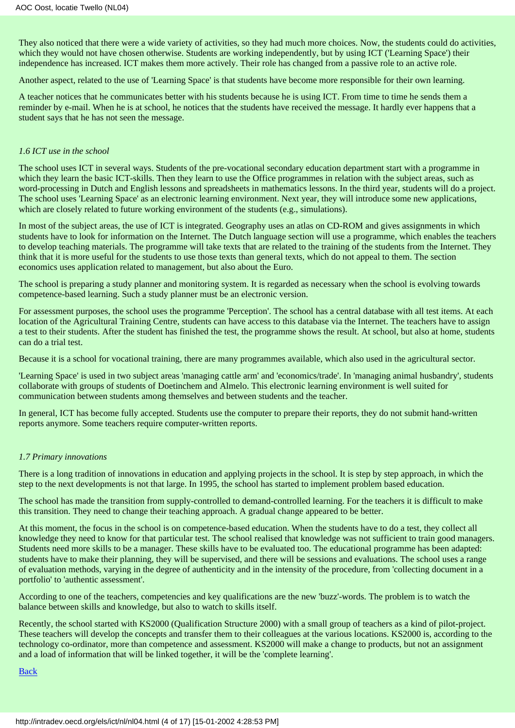They also noticed that there were a wide variety of activities, so they had much more choices. Now, the students could do activities, which they would not have chosen otherwise. Students are working independently, but by using ICT ('Learning Space') their independence has increased. ICT makes them more actively. Their role has changed from a passive role to an active role.

Another aspect, related to the use of 'Learning Space' is that students have become more responsible for their own learning.

A teacher notices that he communicates better with his students because he is using ICT. From time to time he sends them a reminder by e-mail. When he is at school, he notices that the students have received the message. It hardly ever happens that a student says that he has not seen the message.

### *1.6 ICT use in the school*

The school uses ICT in several ways. Students of the pre-vocational secondary education department start with a programme in which they learn the basic ICT-skills. Then they learn to use the Office programmes in relation with the subject areas, such as word-processing in Dutch and English lessons and spreadsheets in mathematics lessons. In the third year, students will do a project. The school uses 'Learning Space' as an electronic learning environment. Next year, they will introduce some new applications, which are closely related to future working environment of the students (e.g., simulations).

In most of the subject areas, the use of ICT is integrated. Geography uses an atlas on CD-ROM and gives assignments in which students have to look for information on the Internet. The Dutch language section will use a programme, which enables the teachers to develop teaching materials. The programme will take texts that are related to the training of the students from the Internet. They think that it is more useful for the students to use those texts than general texts, which do not appeal to them. The section economics uses application related to management, but also about the Euro.

The school is preparing a study planner and monitoring system. It is regarded as necessary when the school is evolving towards competence-based learning. Such a study planner must be an electronic version.

For assessment purposes, the school uses the programme 'Perception'. The school has a central database with all test items. At each location of the Agricultural Training Centre, students can have access to this database via the Internet. The teachers have to assign a test to their students. After the student has finished the test, the programme shows the result. At school, but also at home, students can do a trial test.

Because it is a school for vocational training, there are many programmes available, which also used in the agricultural sector.

'Learning Space' is used in two subject areas 'managing cattle arm' and 'economics/trade'. In 'managing animal husbandry', students collaborate with groups of students of Doetinchem and Almelo. This electronic learning environment is well suited for communication between students among themselves and between students and the teacher.

In general, ICT has become fully accepted. Students use the computer to prepare their reports, they do not submit hand-written reports anymore. Some teachers require computer-written reports.

### *1.7 Primary innovations*

There is a long tradition of innovations in education and applying projects in the school. It is step by step approach, in which the step to the next developments is not that large. In 1995, the school has started to implement problem based education.

The school has made the transition from supply-controlled to demand-controlled learning. For the teachers it is difficult to make this transition. They need to change their teaching approach. A gradual change appeared to be better.

At this moment, the focus in the school is on competence-based education. When the students have to do a test, they collect all knowledge they need to know for that particular test. The school realised that knowledge was not sufficient to train good managers. Students need more skills to be a manager. These skills have to be evaluated too. The educational programme has been adapted: students have to make their planning, they will be supervised, and there will be sessions and evaluations. The school uses a range of evaluation methods, varying in the degree of authenticity and in the intensity of the procedure, from 'collecting document in a portfolio' to 'authentic assessment'.

According to one of the teachers, competencies and key qualifications are the new 'buzz'-words. The problem is to watch the balance between skills and knowledge, but also to watch to skills itself.

Recently, the school started with KS2000 (Qualification Structure 2000) with a small group of teachers as a kind of pilot-project. These teachers will develop the concepts and transfer them to their colleagues at the various locations. KS2000 is, according to the technology co-ordinator, more than competence and assessment. KS2000 will make a change to products, but not an assignment and a load of information that will be linked together, it will be the 'complete learning'.

[Back](#page-0-0)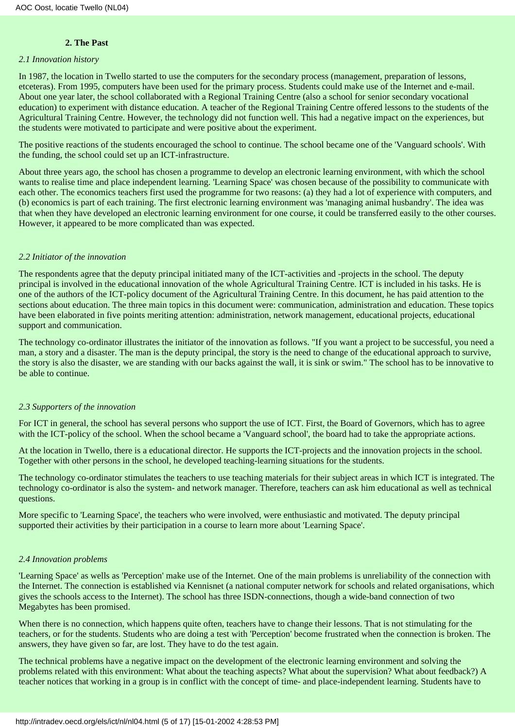## **2. The Past**

#### <span id="page-4-0"></span>*2.1 Innovation history*

In 1987, the location in Twello started to use the computers for the secondary process (management, preparation of lessons, etceteras). From 1995, computers have been used for the primary process. Students could make use of the Internet and e-mail. About one year later, the school collaborated with a Regional Training Centre (also a school for senior secondary vocational education) to experiment with distance education. A teacher of the Regional Training Centre offered lessons to the students of the Agricultural Training Centre. However, the technology did not function well. This had a negative impact on the experiences, but the students were motivated to participate and were positive about the experiment.

The positive reactions of the students encouraged the school to continue. The school became one of the 'Vanguard schools'. With the funding, the school could set up an ICT-infrastructure.

About three years ago, the school has chosen a programme to develop an electronic learning environment, with which the school wants to realise time and place independent learning. 'Learning Space' was chosen because of the possibility to communicate with each other. The economics teachers first used the programme for two reasons: (a) they had a lot of experience with computers, and (b) economics is part of each training. The first electronic learning environment was 'managing animal husbandry'. The idea was that when they have developed an electronic learning environment for one course, it could be transferred easily to the other courses. However, it appeared to be more complicated than was expected.

#### *2.2 Initiator of the innovation*

The respondents agree that the deputy principal initiated many of the ICT-activities and -projects in the school. The deputy principal is involved in the educational innovation of the whole Agricultural Training Centre. ICT is included in his tasks. He is one of the authors of the ICT-policy document of the Agricultural Training Centre. In this document, he has paid attention to the sections about education. The three main topics in this document were: communication, administration and education. These topics have been elaborated in five points meriting attention: administration, network management, educational projects, educational support and communication.

The technology co-ordinator illustrates the initiator of the innovation as follows. "If you want a project to be successful, you need a man, a story and a disaster. The man is the deputy principal, the story is the need to change of the educational approach to survive, the story is also the disaster, we are standing with our backs against the wall, it is sink or swim." The school has to be innovative to be able to continue.

### *2.3 Supporters of the innovation*

For ICT in general, the school has several persons who support the use of ICT. First, the Board of Governors, which has to agree with the ICT-policy of the school. When the school became a 'Vanguard school', the board had to take the appropriate actions.

At the location in Twello, there is a educational director. He supports the ICT-projects and the innovation projects in the school. Together with other persons in the school, he developed teaching-learning situations for the students.

The technology co-ordinator stimulates the teachers to use teaching materials for their subject areas in which ICT is integrated. The technology co-ordinator is also the system- and network manager. Therefore, teachers can ask him educational as well as technical questions.

More specific to 'Learning Space', the teachers who were involved, were enthusiastic and motivated. The deputy principal supported their activities by their participation in a course to learn more about 'Learning Space'.

### *2.4 Innovation problems*

'Learning Space' as wells as 'Perception' make use of the Internet. One of the main problems is unreliability of the connection with the Internet. The connection is established via Kennisnet (a national computer network for schools and related organisations, which gives the schools access to the Internet). The school has three ISDN-connections, though a wide-band connection of two Megabytes has been promised.

When there is no connection, which happens quite often, teachers have to change their lessons. That is not stimulating for the teachers, or for the students. Students who are doing a test with 'Perception' become frustrated when the connection is broken. The answers, they have given so far, are lost. They have to do the test again.

The technical problems have a negative impact on the development of the electronic learning environment and solving the problems related with this environment: What about the teaching aspects? What about the supervision? What about feedback?) A teacher notices that working in a group is in conflict with the concept of time- and place-independent learning. Students have to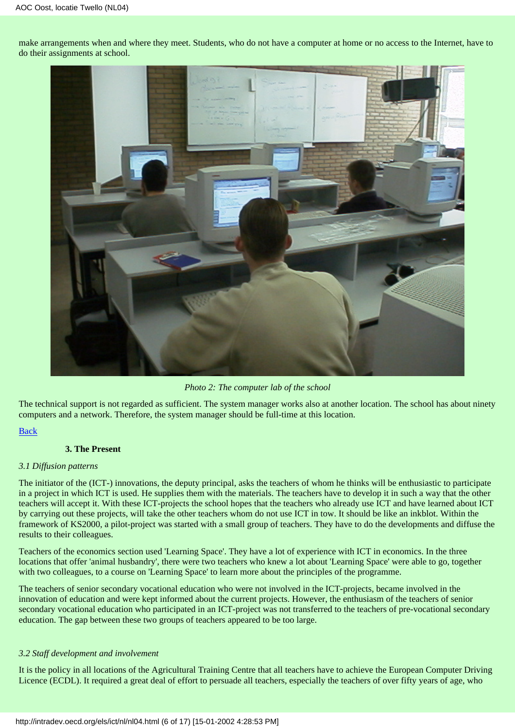make arrangements when and where they meet. Students, who do not have a computer at home or no access to the Internet, have to do their assignments at school.



*Photo 2: The computer lab of the school*

The technical support is not regarded as sufficient. The system manager works also at another location. The school has about ninety computers and a network. Therefore, the system manager should be full-time at this location.

### [Back](#page-0-0)

### **3. The Present**

#### <span id="page-5-0"></span>*3.1 Diffusion patterns*

The initiator of the (ICT-) innovations, the deputy principal, asks the teachers of whom he thinks will be enthusiastic to participate in a project in which ICT is used. He supplies them with the materials. The teachers have to develop it in such a way that the other teachers will accept it. With these ICT-projects the school hopes that the teachers who already use ICT and have learned about ICT by carrying out these projects, will take the other teachers whom do not use ICT in tow. It should be like an inkblot. Within the framework of KS2000, a pilot-project was started with a small group of teachers. They have to do the developments and diffuse the results to their colleagues.

Teachers of the economics section used 'Learning Space'. They have a lot of experience with ICT in economics. In the three locations that offer 'animal husbandry', there were two teachers who knew a lot about 'Learning Space' were able to go, together with two colleagues, to a course on 'Learning Space' to learn more about the principles of the programme.

The teachers of senior secondary vocational education who were not involved in the ICT-projects, became involved in the innovation of education and were kept informed about the current projects. However, the enthusiasm of the teachers of senior secondary vocational education who participated in an ICT-project was not transferred to the teachers of pre-vocational secondary education. The gap between these two groups of teachers appeared to be too large.

### *3.2 Staff development and involvement*

It is the policy in all locations of the Agricultural Training Centre that all teachers have to achieve the European Computer Driving Licence (ECDL). It required a great deal of effort to persuade all teachers, especially the teachers of over fifty years of age, who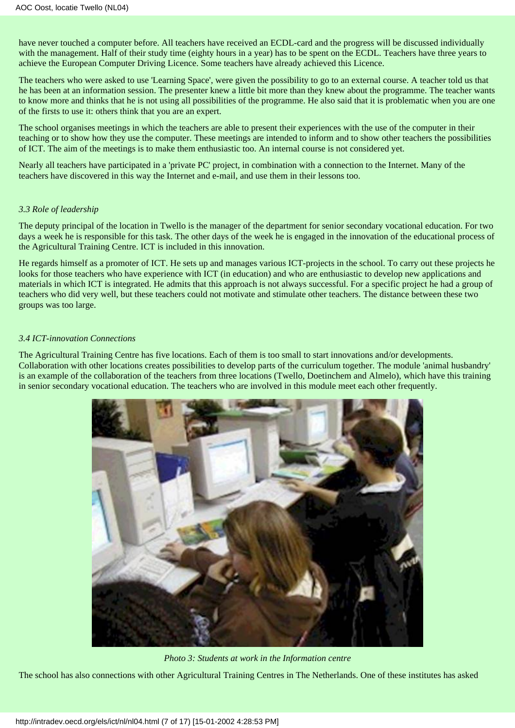have never touched a computer before. All teachers have received an ECDL-card and the progress will be discussed individually with the management. Half of their study time (eighty hours in a year) has to be spent on the ECDL. Teachers have three years to achieve the European Computer Driving Licence. Some teachers have already achieved this Licence.

The teachers who were asked to use 'Learning Space', were given the possibility to go to an external course. A teacher told us that he has been at an information session. The presenter knew a little bit more than they knew about the programme. The teacher wants to know more and thinks that he is not using all possibilities of the programme. He also said that it is problematic when you are one of the firsts to use it: others think that you are an expert.

The school organises meetings in which the teachers are able to present their experiences with the use of the computer in their teaching or to show how they use the computer. These meetings are intended to inform and to show other teachers the possibilities of ICT. The aim of the meetings is to make them enthusiastic too. An internal course is not considered yet.

Nearly all teachers have participated in a 'private PC' project, in combination with a connection to the Internet. Many of the teachers have discovered in this way the Internet and e-mail, and use them in their lessons too.

### *3.3 Role of leadership*

The deputy principal of the location in Twello is the manager of the department for senior secondary vocational education. For two days a week he is responsible for this task. The other days of the week he is engaged in the innovation of the educational process of the Agricultural Training Centre. ICT is included in this innovation.

He regards himself as a promoter of ICT. He sets up and manages various ICT-projects in the school. To carry out these projects he looks for those teachers who have experience with ICT (in education) and who are enthusiastic to develop new applications and materials in which ICT is integrated. He admits that this approach is not always successful. For a specific project he had a group of teachers who did very well, but these teachers could not motivate and stimulate other teachers. The distance between these two groups was too large.

## *3.4 ICT-innovation Connections*

The Agricultural Training Centre has five locations. Each of them is too small to start innovations and/or developments. Collaboration with other locations creates possibilities to develop parts of the curriculum together. The module 'animal husbandry' is an example of the collaboration of the teachers from three locations (Twello, Doetinchem and Almelo), which have this training in senior secondary vocational education. The teachers who are involved in this module meet each other frequently.



*Photo 3: Students at work in the Information centre*

The school has also connections with other Agricultural Training Centres in The Netherlands. One of these institutes has asked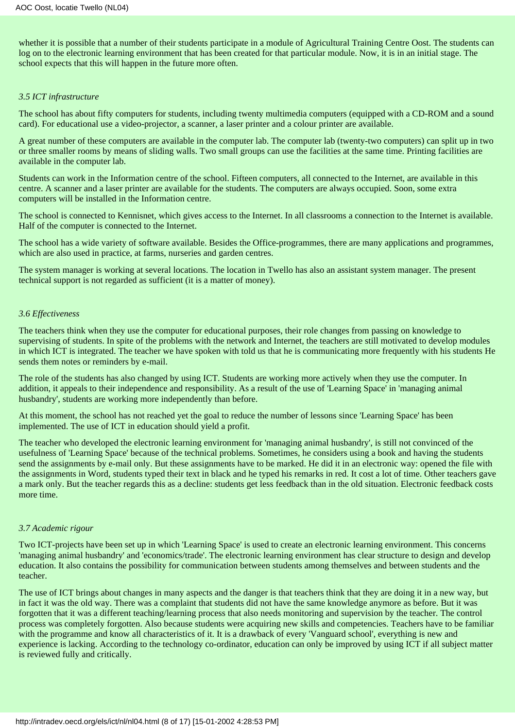whether it is possible that a number of their students participate in a module of Agricultural Training Centre Oost. The students can log on to the electronic learning environment that has been created for that particular module. Now, it is in an initial stage. The school expects that this will happen in the future more often.

#### *3.5 ICT infrastructure*

The school has about fifty computers for students, including twenty multimedia computers (equipped with a CD-ROM and a sound card). For educational use a video-projector, a scanner, a laser printer and a colour printer are available.

A great number of these computers are available in the computer lab. The computer lab (twenty-two computers) can split up in two or three smaller rooms by means of sliding walls. Two small groups can use the facilities at the same time. Printing facilities are available in the computer lab.

Students can work in the Information centre of the school. Fifteen computers, all connected to the Internet, are available in this centre. A scanner and a laser printer are available for the students. The computers are always occupied. Soon, some extra computers will be installed in the Information centre.

The school is connected to Kennisnet, which gives access to the Internet. In all classrooms a connection to the Internet is available. Half of the computer is connected to the Internet.

The school has a wide variety of software available. Besides the Office-programmes, there are many applications and programmes, which are also used in practice, at farms, nurseries and garden centres.

The system manager is working at several locations. The location in Twello has also an assistant system manager. The present technical support is not regarded as sufficient (it is a matter of money).

### *3.6 Effectiveness*

The teachers think when they use the computer for educational purposes, their role changes from passing on knowledge to supervising of students. In spite of the problems with the network and Internet, the teachers are still motivated to develop modules in which ICT is integrated. The teacher we have spoken with told us that he is communicating more frequently with his students He sends them notes or reminders by e-mail.

The role of the students has also changed by using ICT. Students are working more actively when they use the computer. In addition, it appeals to their independence and responsibility. As a result of the use of 'Learning Space' in 'managing animal husbandry', students are working more independently than before.

At this moment, the school has not reached yet the goal to reduce the number of lessons since 'Learning Space' has been implemented. The use of ICT in education should yield a profit.

The teacher who developed the electronic learning environment for 'managing animal husbandry', is still not convinced of the usefulness of 'Learning Space' because of the technical problems. Sometimes, he considers using a book and having the students send the assignments by e-mail only. But these assignments have to be marked. He did it in an electronic way: opened the file with the assignments in Word, students typed their text in black and he typed his remarks in red. It cost a lot of time. Other teachers gave a mark only. But the teacher regards this as a decline: students get less feedback than in the old situation. Electronic feedback costs more time.

### *3.7 Academic rigour*

Two ICT-projects have been set up in which 'Learning Space' is used to create an electronic learning environment. This concerns 'managing animal husbandry' and 'economics/trade'. The electronic learning environment has clear structure to design and develop education. It also contains the possibility for communication between students among themselves and between students and the teacher.

The use of ICT brings about changes in many aspects and the danger is that teachers think that they are doing it in a new way, but in fact it was the old way. There was a complaint that students did not have the same knowledge anymore as before. But it was forgotten that it was a different teaching/learning process that also needs monitoring and supervision by the teacher. The control process was completely forgotten. Also because students were acquiring new skills and competencies. Teachers have to be familiar with the programme and know all characteristics of it. It is a drawback of every 'Vanguard school', everything is new and experience is lacking. According to the technology co-ordinator, education can only be improved by using ICT if all subject matter is reviewed fully and critically.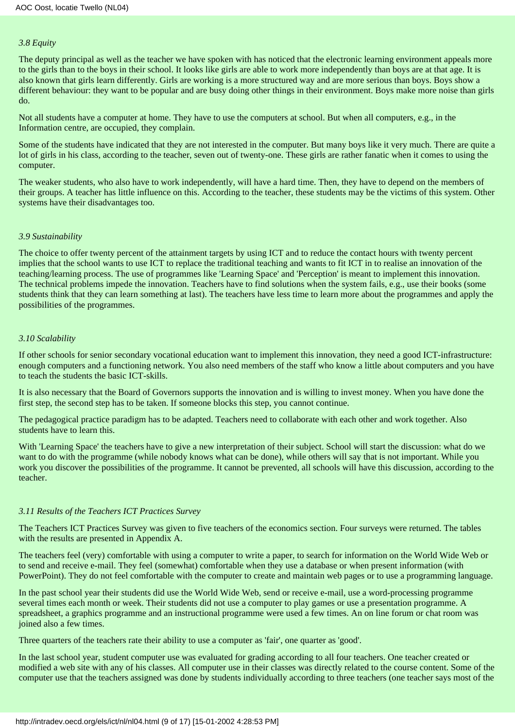### *3.8 Equity*

The deputy principal as well as the teacher we have spoken with has noticed that the electronic learning environment appeals more to the girls than to the boys in their school. It looks like girls are able to work more independently than boys are at that age. It is also known that girls learn differently. Girls are working is a more structured way and are more serious than boys. Boys show a different behaviour: they want to be popular and are busy doing other things in their environment. Boys make more noise than girls do.

Not all students have a computer at home. They have to use the computers at school. But when all computers, e.g., in the Information centre, are occupied, they complain.

Some of the students have indicated that they are not interested in the computer. But many boys like it very much. There are quite a lot of girls in his class, according to the teacher, seven out of twenty-one. These girls are rather fanatic when it comes to using the computer.

The weaker students, who also have to work independently, will have a hard time. Then, they have to depend on the members of their groups. A teacher has little influence on this. According to the teacher, these students may be the victims of this system. Other systems have their disadvantages too.

### *3.9 Sustainability*

The choice to offer twenty percent of the attainment targets by using ICT and to reduce the contact hours with twenty percent implies that the school wants to use ICT to replace the traditional teaching and wants to fit ICT in to realise an innovation of the teaching/learning process. The use of programmes like 'Learning Space' and 'Perception' is meant to implement this innovation. The technical problems impede the innovation. Teachers have to find solutions when the system fails, e.g., use their books (some students think that they can learn something at last). The teachers have less time to learn more about the programmes and apply the possibilities of the programmes.

### *3.10 Scalability*

If other schools for senior secondary vocational education want to implement this innovation, they need a good ICT-infrastructure: enough computers and a functioning network. You also need members of the staff who know a little about computers and you have to teach the students the basic ICT-skills.

It is also necessary that the Board of Governors supports the innovation and is willing to invest money. When you have done the first step, the second step has to be taken. If someone blocks this step, you cannot continue.

The pedagogical practice paradigm has to be adapted. Teachers need to collaborate with each other and work together. Also students have to learn this.

With 'Learning Space' the teachers have to give a new interpretation of their subject. School will start the discussion: what do we want to do with the programme (while nobody knows what can be done), while others will say that is not important. While you work you discover the possibilities of the programme. It cannot be prevented, all schools will have this discussion, according to the teacher.

#### *3.11 Results of the Teachers ICT Practices Survey*

The Teachers ICT Practices Survey was given to five teachers of the economics section. Four surveys were returned. The tables with the results are presented in Appendix A.

The teachers feel (very) comfortable with using a computer to write a paper, to search for information on the World Wide Web or to send and receive e-mail. They feel (somewhat) comfortable when they use a database or when present information (with PowerPoint). They do not feel comfortable with the computer to create and maintain web pages or to use a programming language.

In the past school year their students did use the World Wide Web, send or receive e-mail, use a word-processing programme several times each month or week. Their students did not use a computer to play games or use a presentation programme. A spreadsheet, a graphics programme and an instructional programme were used a few times. An on line forum or chat room was joined also a few times.

Three quarters of the teachers rate their ability to use a computer as 'fair', one quarter as 'good'.

In the last school year, student computer use was evaluated for grading according to all four teachers. One teacher created or modified a web site with any of his classes. All computer use in their classes was directly related to the course content. Some of the computer use that the teachers assigned was done by students individually according to three teachers (one teacher says most of the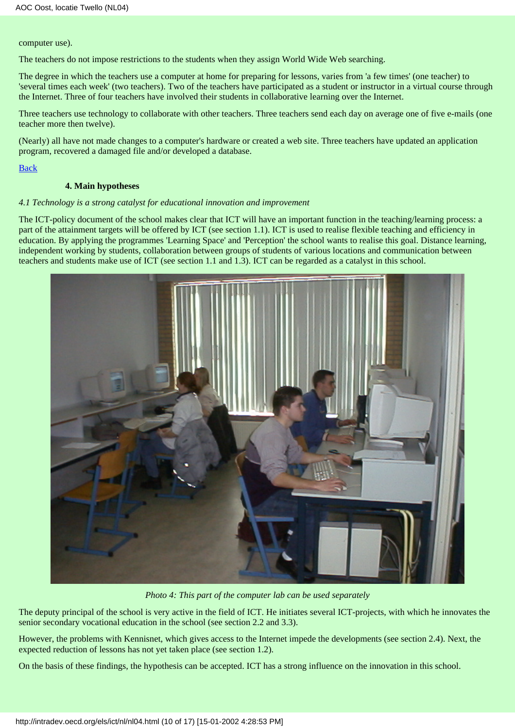computer use).

The teachers do not impose restrictions to the students when they assign World Wide Web searching.

The degree in which the teachers use a computer at home for preparing for lessons, varies from 'a few times' (one teacher) to 'several times each week' (two teachers). Two of the teachers have participated as a student or instructor in a virtual course through the Internet. Three of four teachers have involved their students in collaborative learning over the Internet.

Three teachers use technology to collaborate with other teachers. Three teachers send each day on average one of five e-mails (one teacher more then twelve).

(Nearly) all have not made changes to a computer's hardware or created a web site. Three teachers have updated an application program, recovered a damaged file and/or developed a database.

[Back](#page-0-0)

## **4. Main hypotheses**

### <span id="page-9-0"></span>*4.1 Technology is a strong catalyst for educational innovation and improvement*

The ICT-policy document of the school makes clear that ICT will have an important function in the teaching/learning process: a part of the attainment targets will be offered by ICT (see section 1.1). ICT is used to realise flexible teaching and efficiency in education. By applying the programmes 'Learning Space' and 'Perception' the school wants to realise this goal. Distance learning, independent working by students, collaboration between groups of students of various locations and communication between teachers and students make use of ICT (see section 1.1 and 1.3). ICT can be regarded as a catalyst in this school.



*Photo 4: This part of the computer lab can be used separately*

The deputy principal of the school is very active in the field of ICT. He initiates several ICT-projects, with which he innovates the senior secondary vocational education in the school (see section 2.2 and 3.3).

However, the problems with Kennisnet, which gives access to the Internet impede the developments (see section 2.4). Next, the expected reduction of lessons has not yet taken place (see section 1.2).

On the basis of these findings, the hypothesis can be accepted. ICT has a strong influence on the innovation in this school.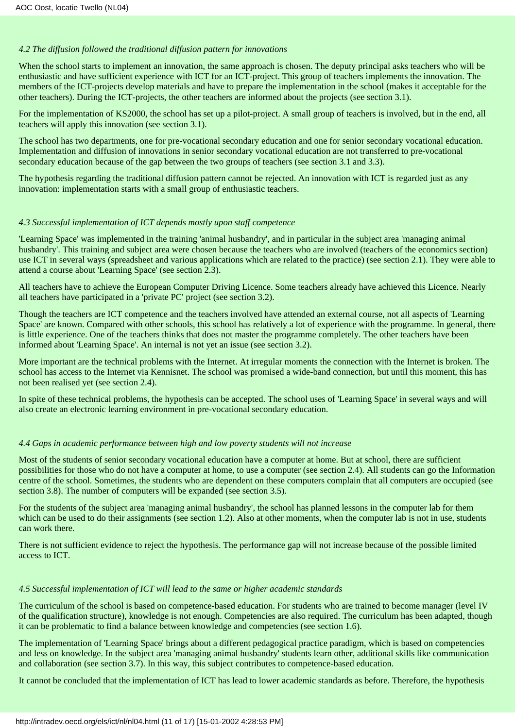### *4.2 The diffusion followed the traditional diffusion pattern for innovations*

When the school starts to implement an innovation, the same approach is chosen. The deputy principal asks teachers who will be enthusiastic and have sufficient experience with ICT for an ICT-project. This group of teachers implements the innovation. The members of the ICT-projects develop materials and have to prepare the implementation in the school (makes it acceptable for the other teachers). During the ICT-projects, the other teachers are informed about the projects (see section 3.1).

For the implementation of KS2000, the school has set up a pilot-project. A small group of teachers is involved, but in the end, all teachers will apply this innovation (see section 3.1).

The school has two departments, one for pre-vocational secondary education and one for senior secondary vocational education. Implementation and diffusion of innovations in senior secondary vocational education are not transferred to pre-vocational secondary education because of the gap between the two groups of teachers (see section 3.1 and 3.3).

The hypothesis regarding the traditional diffusion pattern cannot be rejected. An innovation with ICT is regarded just as any innovation: implementation starts with a small group of enthusiastic teachers.

# *4.3 Successful implementation of ICT depends mostly upon staff competence*

'Learning Space' was implemented in the training 'animal husbandry', and in particular in the subject area 'managing animal husbandry'. This training and subject area were chosen because the teachers who are involved (teachers of the economics section) use ICT in several ways (spreadsheet and various applications which are related to the practice) (see section 2.1). They were able to attend a course about 'Learning Space' (see section 2.3).

All teachers have to achieve the European Computer Driving Licence. Some teachers already have achieved this Licence. Nearly all teachers have participated in a 'private PC' project (see section 3.2).

Though the teachers are ICT competence and the teachers involved have attended an external course, not all aspects of 'Learning Space' are known. Compared with other schools, this school has relatively a lot of experience with the programme. In general, there is little experience. One of the teachers thinks that does not master the programme completely. The other teachers have been informed about 'Learning Space'. An internal is not yet an issue (see section 3.2).

More important are the technical problems with the Internet. At irregular moments the connection with the Internet is broken. The school has access to the Internet via Kennisnet. The school was promised a wide-band connection, but until this moment, this has not been realised yet (see section 2.4).

In spite of these technical problems, the hypothesis can be accepted. The school uses of 'Learning Space' in several ways and will also create an electronic learning environment in pre-vocational secondary education.

### *4.4 Gaps in academic performance between high and low poverty students will not increase*

Most of the students of senior secondary vocational education have a computer at home. But at school, there are sufficient possibilities for those who do not have a computer at home, to use a computer (see section 2.4). All students can go the Information centre of the school. Sometimes, the students who are dependent on these computers complain that all computers are occupied (see section 3.8). The number of computers will be expanded (see section 3.5).

For the students of the subject area 'managing animal husbandry', the school has planned lessons in the computer lab for them which can be used to do their assignments (see section 1.2). Also at other moments, when the computer lab is not in use, students can work there.

There is not sufficient evidence to reject the hypothesis. The performance gap will not increase because of the possible limited access to ICT.

# *4.5 Successful implementation of ICT will lead to the same or higher academic standards*

The curriculum of the school is based on competence-based education. For students who are trained to become manager (level IV of the qualification structure), knowledge is not enough. Competencies are also required. The curriculum has been adapted, though it can be problematic to find a balance between knowledge and competencies (see section 1.6).

The implementation of 'Learning Space' brings about a different pedagogical practice paradigm, which is based on competencies and less on knowledge. In the subject area 'managing animal husbandry' students learn other, additional skills like communication and collaboration (see section 3.7). In this way, this subject contributes to competence-based education.

It cannot be concluded that the implementation of ICT has lead to lower academic standards as before. Therefore, the hypothesis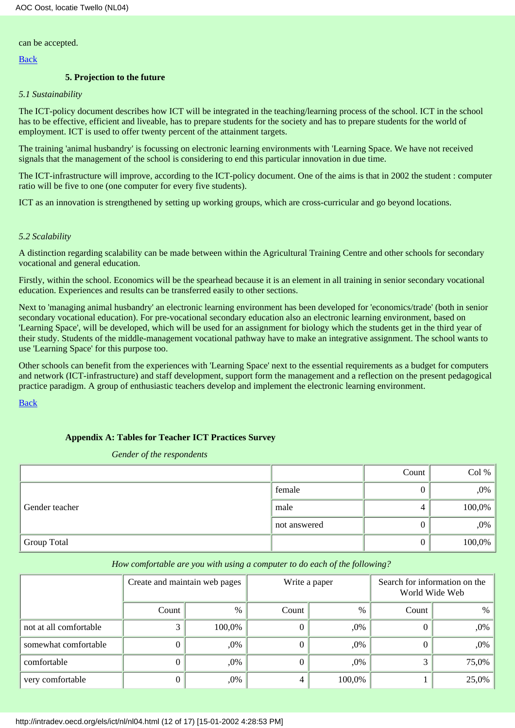can be accepted.

[Back](#page-0-0)

## **5. Projection to the future**

### <span id="page-11-0"></span>*5.1 Sustainability*

The ICT-policy document describes how ICT will be integrated in the teaching/learning process of the school. ICT in the school has to be effective, efficient and liveable, has to prepare students for the society and has to prepare students for the world of employment. ICT is used to offer twenty percent of the attainment targets.

The training 'animal husbandry' is focussing on electronic learning environments with 'Learning Space. We have not received signals that the management of the school is considering to end this particular innovation in due time.

The ICT-infrastructure will improve, according to the ICT-policy document. One of the aims is that in 2002 the student : computer ratio will be five to one (one computer for every five students).

ICT as an innovation is strengthened by setting up working groups, which are cross-curricular and go beyond locations.

## *5.2 Scalability*

A distinction regarding scalability can be made between within the Agricultural Training Centre and other schools for secondary vocational and general education.

Firstly, within the school. Economics will be the spearhead because it is an element in all training in senior secondary vocational education. Experiences and results can be transferred easily to other sections.

Next to 'managing animal husbandry' an electronic learning environment has been developed for 'economics/trade' (both in senior secondary vocational education). For pre-vocational secondary education also an electronic learning environment, based on 'Learning Space', will be developed, which will be used for an assignment for biology which the students get in the third year of their study. Students of the middle-management vocational pathway have to make an integrative assignment. The school wants to use 'Learning Space' for this purpose too.

Other schools can benefit from the experiences with 'Learning Space' next to the essential requirements as a budget for computers and network (ICT-infrastructure) and staff development, support form the management and a reflection on the present pedagogical practice paradigm. A group of enthusiastic teachers develop and implement the electronic learning environment.

[Back](#page-0-0)

# **Appendix A: Tables for Teacher ICT Practices Survey**

#### *Gender of the respondents*

<span id="page-11-1"></span>

|                |              | Count | Col %     |
|----------------|--------------|-------|-----------|
|                | female       |       | ,0%       |
| Gender teacher | male         |       | $100,0\%$ |
|                | not answered |       | ,0%       |
| Group Total    |              |       | 100,0%    |

### *How comfortable are you with using a computer to do each of the following?*

|                        | Create and maintain web pages |        | Write a paper |        | Search for information on the<br>World Wide Web |        |
|------------------------|-------------------------------|--------|---------------|--------|-------------------------------------------------|--------|
|                        | Count                         | %      | Count         | $\%$   | Count                                           | $\%$   |
| not at all comfortable |                               | 100,0% |               | ,0%    | O                                               | $,0\%$ |
| somewhat comfortable   |                               | ,0%    |               | $.0\%$ | 0                                               | $,0\%$ |
| comfortable            |                               | ,0%    |               | ,0%    | 3                                               | 75,0%  |
| very comfortable       |                               | ,0%    | 4             | 100,0% |                                                 | 25,0%  |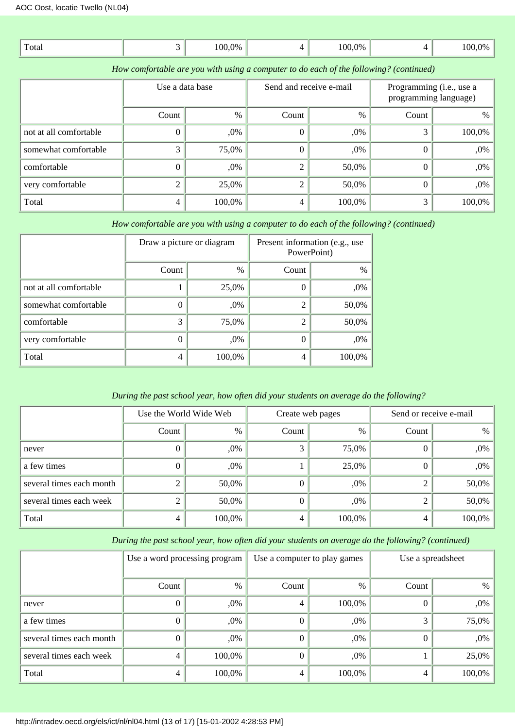| Total | $00.0\%$ | 100.0% | 10 <sup>c</sup> |
|-------|----------|--------|-----------------|

*How comfortable are you with using a computer to do each of the following? (continued)*

|                        | Use a data base |        |                | Send and receive e-mail |          | Programming (i.e., use a<br>programming language) |  |
|------------------------|-----------------|--------|----------------|-------------------------|----------|---------------------------------------------------|--|
|                        | Count           | $\%$   | Count          | %                       | Count    | $\%$                                              |  |
| not at all comfortable |                 | ,0%    | $\theta$       | $,0\%$                  |          | 100,0%                                            |  |
| somewhat comfortable   |                 | 75,0%  | $\overline{0}$ | $,0\%$                  | $\Omega$ | ,0%                                               |  |
| comfortable            |                 | ,0%    | 2              | 50,0%                   | $\Omega$ | ,0%                                               |  |
| very comfortable       |                 | 25,0%  | $\overline{2}$ | 50,0%                   | $\theta$ | ,0%                                               |  |
| Total                  |                 | 100,0% | 4              | 100,0%                  |          | 100,0%                                            |  |

*How comfortable are you with using a computer to do each of the following? (continued)*

|                        | Draw a picture or diagram |        | Present information (e.g., use<br>PowerPoint) |        |  |
|------------------------|---------------------------|--------|-----------------------------------------------|--------|--|
|                        | Count                     | $\%$   | Count                                         | $\%$   |  |
| not at all comfortable |                           | 25,0%  | $\theta$                                      | ,0%    |  |
| somewhat comfortable   | $\Omega$                  | ,0%    | $\overline{2}$                                | 50,0%  |  |
| comfortable            | 3                         | 75,0%  | $\overline{2}$                                | 50,0%  |  |
| very comfortable       | 0                         | ,0%    | 0                                             | ,0%    |  |
| Total                  | 4                         | 100,0% | 4                                             | 100,0% |  |

# *During the past school year, how often did your students on average do the following?*

|                          | Use the World Wide Web |        |       | Create web pages |       | Send or receive e-mail |  |
|--------------------------|------------------------|--------|-------|------------------|-------|------------------------|--|
|                          | Count                  | $\%$   | Count | $\%$             | Count | %                      |  |
| never                    |                        | ,0%    | 3     | 75,0%            | 0     | $,0\%$                 |  |
| a few times              |                        | ,0%    |       | 25,0%            | 0     | $,0\%$                 |  |
| several times each month |                        | 50,0%  |       | ,0%              | 2     | $50,0\%$               |  |
| several times each week  |                        | 50,0%  | 0     | ,0%              | 2     | $50,0\%$               |  |
| Total                    | 4                      | 100,0% | 4     | 100,0%           | 4     | 100,0%                 |  |

*During the past school year, how often did your students on average do the following? (continued)*

|                          | Use a word processing program |        | Use a computer to play games |        | Use a spreadsheet |        |
|--------------------------|-------------------------------|--------|------------------------------|--------|-------------------|--------|
|                          | Count                         | $\%$   | Count                        | $\%$   | Count             | %      |
| never                    |                               | ,0%    | 4                            | 100,0% | 0                 | ,0%    |
| a few times              |                               | ,0%    | $_{0}$                       | ,0%    |                   | 75,0%  |
| several times each month |                               | ,0%    | $\Omega$                     | ,0%    | $\Omega$          | ,0%    |
| several times each week  | 4                             | 100,0% | 0                            | ,0%    |                   | 25,0%  |
| Total                    | 4                             | 100,0% | 4                            | 100,0% | 4                 | 100,0% |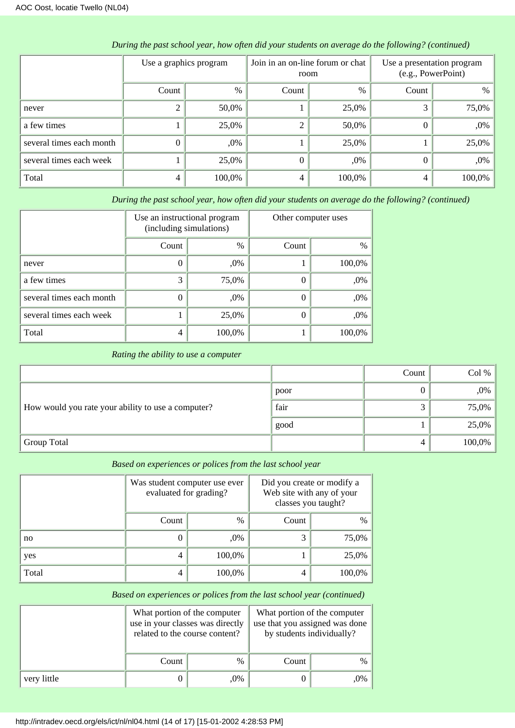|                          | Use a graphics program |        | Join in an on-line forum or chat<br>room |        | Use a presentation program<br>(e.g., PowerPoint) |        |
|--------------------------|------------------------|--------|------------------------------------------|--------|--------------------------------------------------|--------|
|                          | Count                  | $\%$   | Count                                    | $\%$   | Count                                            | $\%$   |
| never                    |                        | 50,0%  |                                          | 25,0%  |                                                  | 75,0%  |
| a few times              |                        | 25,0%  | 2                                        | 50,0%  | $\Omega$                                         | ,0%    |
| several times each month | 0                      | ,0%    |                                          | 25,0%  |                                                  | 25,0%  |
| several times each week  |                        | 25,0%  | 0                                        | $,0\%$ |                                                  | ,0%    |
| Total                    | 4                      | 100,0% | 4                                        | 100,0% | 4                                                | 100,0% |

*During the past school year, how often did your students on average do the following? (continued)*

*During the past school year, how often did your students on average do the following? (continued)*

|                          | Use an instructional program<br>(including simulations) |        | Other computer uses |        |  |
|--------------------------|---------------------------------------------------------|--------|---------------------|--------|--|
|                          | Count                                                   | $\%$   | Count               | $\%$   |  |
| never                    | 0                                                       | ,0%    |                     | 100,0% |  |
| a few times              | 3                                                       | 75,0%  | $\theta$            | ,0%    |  |
| several times each month | 0                                                       | ,0%    | $\theta$            | ,0%    |  |
| several times each week  |                                                         | 25,0%  | $\theta$            | ,0%    |  |
| Total                    | 4                                                       | 100,0% |                     | 100,0% |  |

## *Rating the ability to use a computer*

|                                                    |      | Count | Col %  |
|----------------------------------------------------|------|-------|--------|
|                                                    | poor |       | ,0%    |
| How would you rate your ability to use a computer? | fair |       | 75,0%  |
|                                                    | good |       | 25,0%  |
| Group Total                                        |      |       | 100,0% |

| Based on experiences or polices from the last school year |  |  |  |
|-----------------------------------------------------------|--|--|--|
|                                                           |  |  |  |

|       | Was student computer use ever<br>evaluated for grading? |               | Did you create or modify a<br>Web site with any of your<br>classes you taught? |        |
|-------|---------------------------------------------------------|---------------|--------------------------------------------------------------------------------|--------|
|       | Count                                                   | $\frac{0}{0}$ | Count                                                                          | $\%$   |
| no    | 0                                                       | ,0%           | 3                                                                              | 75,0%  |
| yes   | 4                                                       | 100,0%        |                                                                                | 25,0%  |
| Total | 4                                                       | 100,0%        | 4                                                                              | 100,0% |

# *Based on experiences or polices from the last school year (continued)*

|             | What portion of the computer<br>use in your classes was directly<br>related to the course content? |               | What portion of the computer<br>use that you assigned was done<br>by students individually? |        |
|-------------|----------------------------------------------------------------------------------------------------|---------------|---------------------------------------------------------------------------------------------|--------|
|             | Count                                                                                              | $\frac{0}{0}$ | Count                                                                                       | $\%$   |
| very little | ,0%                                                                                                |               |                                                                                             | $,0\%$ |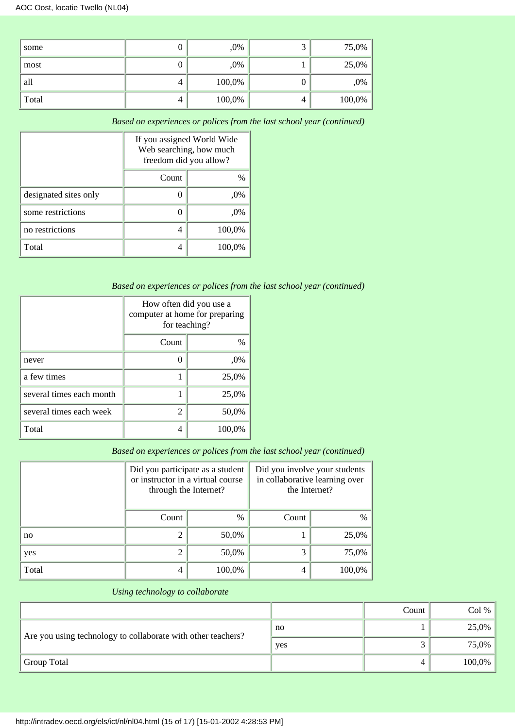| some  |   | $,0\%$ |   | 75,0%  |
|-------|---|--------|---|--------|
| most  |   | ,0%    |   | 25,0%  |
| all   | 4 | 100,0% | υ | ,0%    |
| Total | 4 | 100,0% | 4 | 100,0% |

*Based on experiences or polices from the last school year (continued)*

|                       | If you assigned World Wide<br>Web searching, how much<br>freedom did you allow? |        |  |  |  |
|-----------------------|---------------------------------------------------------------------------------|--------|--|--|--|
|                       | Count<br>%                                                                      |        |  |  |  |
| designated sites only | $.0\%$                                                                          |        |  |  |  |
| some restrictions     | $,0\%$                                                                          |        |  |  |  |
| no restrictions       | 4                                                                               | 100,0% |  |  |  |
| Total                 |                                                                                 | 100,0% |  |  |  |

# *Based on experiences or polices from the last school year (continued)*

|                          | How often did you use a<br>computer at home for preparing<br>for teaching? |        |  |  |  |
|--------------------------|----------------------------------------------------------------------------|--------|--|--|--|
|                          | Count<br>%                                                                 |        |  |  |  |
| never                    | ,0%                                                                        |        |  |  |  |
| a few times              | 25,0%                                                                      |        |  |  |  |
| several times each month |                                                                            | 25,0%  |  |  |  |
| several times each week  | 2                                                                          | 50,0%  |  |  |  |
| Total                    | 4                                                                          | 100.0% |  |  |  |

# *Based on experiences or polices from the last school year (continued)*

|       | Did you participate as a student<br>or instructor in a virtual course<br>through the Internet? |        | Did you involve your students<br>in collaborative learning over<br>the Internet? |        |  |
|-------|------------------------------------------------------------------------------------------------|--------|----------------------------------------------------------------------------------|--------|--|
|       | $\frac{0}{0}$<br>Count                                                                         |        | Count                                                                            | $\%$   |  |
| no    | 2                                                                                              | 50,0%  |                                                                                  | 25,0%  |  |
| yes   | 2                                                                                              | 50,0%  | 3                                                                                | 75,0%  |  |
| Total | 4                                                                                              | 100,0% | 4                                                                                | 100,0% |  |

# *Using technology to collaborate*

|                                                              |     | Count | Col %    |
|--------------------------------------------------------------|-----|-------|----------|
| Are you using technology to collaborate with other teachers? | no  |       | 25,0%    |
|                                                              | yes |       | $75,0\%$ |
| <b>Group Total</b>                                           |     |       | 100,0%   |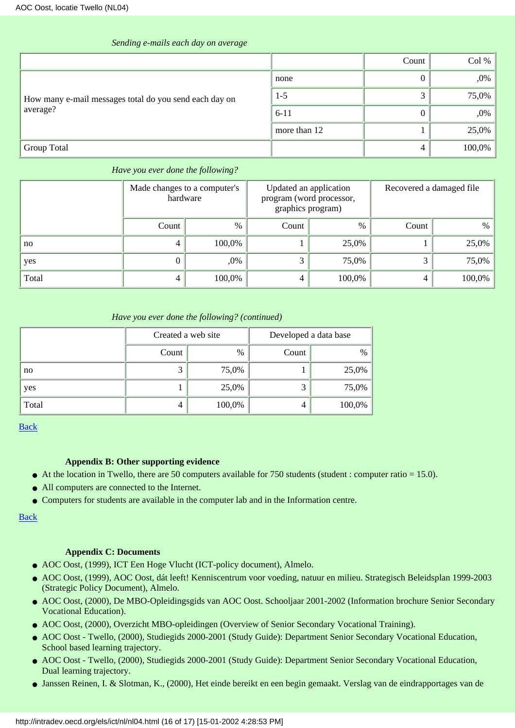|                                                        |              | Count | Col %  |
|--------------------------------------------------------|--------------|-------|--------|
|                                                        | none         |       | $,0\%$ |
| How many e-mail messages total do you send each day on | $1-5$        |       | 75,0%  |
| average?                                               | $6 - 11$     |       | $,0\%$ |
|                                                        | more than 12 |       | 25,0%  |
| Group Total                                            |              | 4     | 100,0% |

### *Sending e-mails each day on average*

### *Have you ever done the following?*

|       | Made changes to a computer's<br>hardware |        | Updated an application<br>program (word processor,<br>graphics program) |        | Recovered a damaged file |        |
|-------|------------------------------------------|--------|-------------------------------------------------------------------------|--------|--------------------------|--------|
|       | Count                                    | $\%$   | Count                                                                   | $\%$   | Count                    | $\%$   |
| no    |                                          | 100,0% |                                                                         | 25,0%  |                          | 25,0%  |
| yes   |                                          | ,0%    | 3                                                                       | 75,0%  |                          | 75,0%  |
| Total | 4                                        | 100,0% | 4                                                                       | 100,0% |                          | 100,0% |

### *Have you ever done the following? (continued)*

|       | Created a web site |               | Developed a data base |        |
|-------|--------------------|---------------|-----------------------|--------|
|       | Count              | $\frac{0}{0}$ | Count                 | $\%$   |
| no    | ⌒<br>J             | 75,0%         |                       | 25,0%  |
| yes   |                    | 25,0%         |                       | 75,0%  |
| Total | 4                  | 100,0%        | 4                     | 100,0% |

[Back](#page-0-0)

# **Appendix B: Other supporting evidence**

- <span id="page-15-0"></span>● At the location in Twello, there are 50 computers available for 750 students (student : computer ratio = 15.0).
- All computers are connected to the Internet.
- Computers for students are available in the computer lab and in the Information centre.

[Back](#page-0-0)

# **Appendix C: Documents**

- <span id="page-15-1"></span>● AOC Oost, (1999), ICT Een Hoge Vlucht (ICT-policy document), Almelo.
- AOC Oost, (1999), AOC Oost, dát leeft! Kenniscentrum voor voeding, natuur en milieu. Strategisch Beleidsplan 1999-2003 (Strategic Policy Document), Almelo.
- AOC Oost, (2000), De MBO-Opleidingsgids van AOC Oost. Schooljaar 2001-2002 (Information brochure Senior Secondary Vocational Education).
- AOC Oost, (2000), Overzicht MBO-opleidingen (Overview of Senior Secondary Vocational Training).
- AOC Oost Twello, (2000), Studiegids 2000-2001 (Study Guide): Department Senior Secondary Vocational Education, School based learning trajectory.
- AOC Oost Twello, (2000), Studiegids 2000-2001 (Study Guide): Department Senior Secondary Vocational Education, Dual learning trajectory.
- Janssen Reinen, I. & Slotman, K., (2000), Het einde bereikt en een begin gemaakt. Verslag van de eindrapportages van de